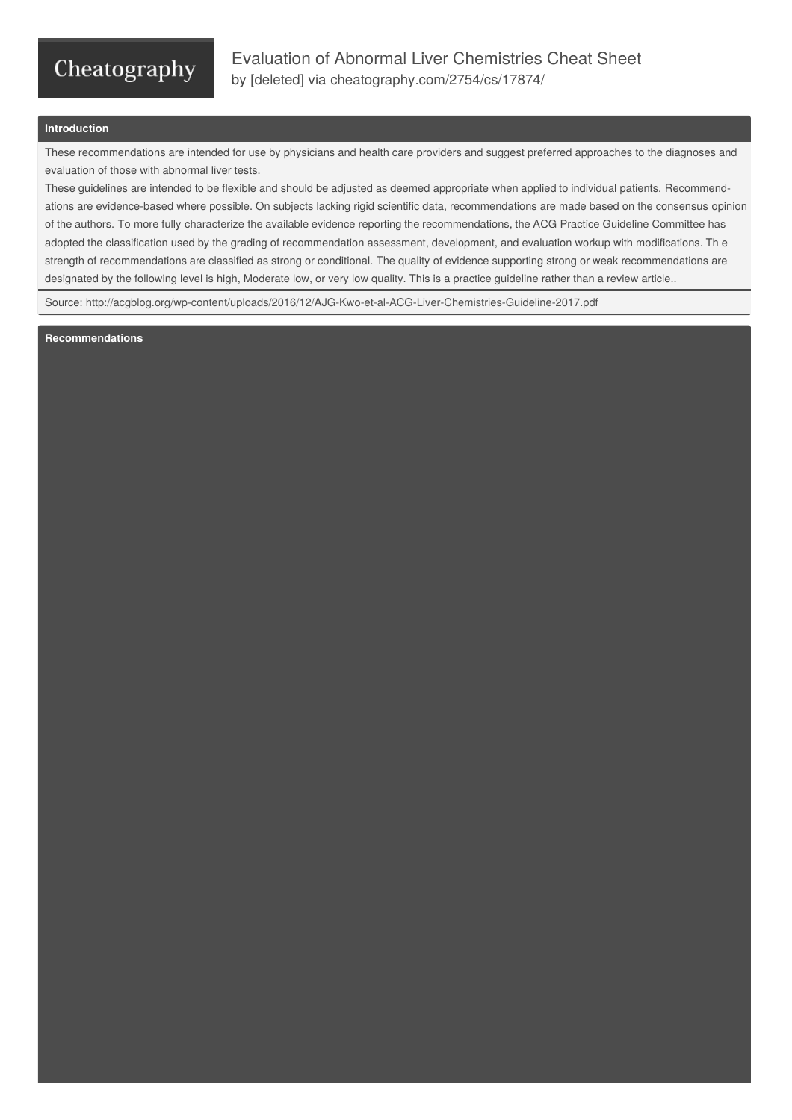## Cheatography

## **Introduction**

These recommendations are intended for use by physicians and health care providers and suggest preferred approaches to the diagnoses and evaluation of those with abnormal liver tests.

These guidelines are intended to be flexible and should be adjusted as deemed appropriate when applied to individual patients. Recommend‐ ations are evidence-based where possible. On subjects lacking rigid scientific data, recommendations are made based on the consensus opinion of the authors. To more fully characterize the available evidence reporting the recommendations, the ACG Practice Guideline Committee has adopted the classification used by the grading of recommendation assessment, development, and evaluation workup with modifications. Th e strength of recommendations are classified as strong or conditional. The quality of evidence supporting strong or weak recommendations are designated by the following level is high, Moderate low, or very low quality. This is a practice guideline rather than a review article..

Source: <http://acgblog.org/wp-content/uploads/2016/12/AJG-Kwo-et-al-ACG-Liver-Chemistries-Guideline-2017.pdf>

**Recommendations**